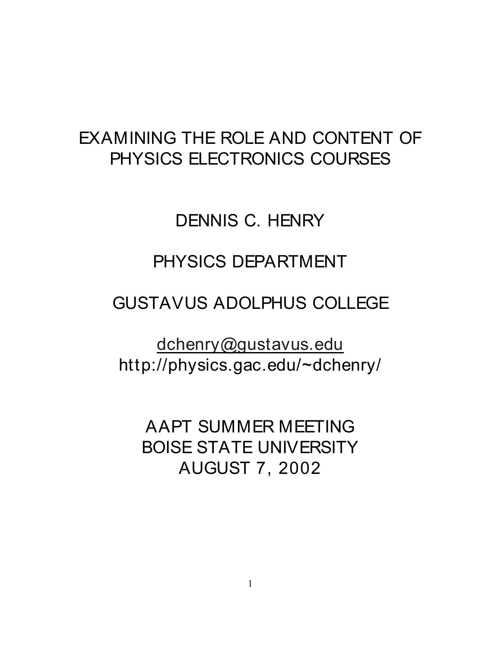## EXAMINING THE ROLE AND CONTENT OF PHYSICS ELECTRONICS COURSES

# DENNIS C. HENRY

## PHYSICS DEPARTMENT

### GUSTAVUS ADOLPHUS COLLEGE

[dchenry@gustavus.edu](mailto:dchenry@gustavus.edu) http://physics.gac.edu/~dchenry/

AAPT SUMMER MEETING BOISE STATE UNIVERSITY AUGUST 7, 2002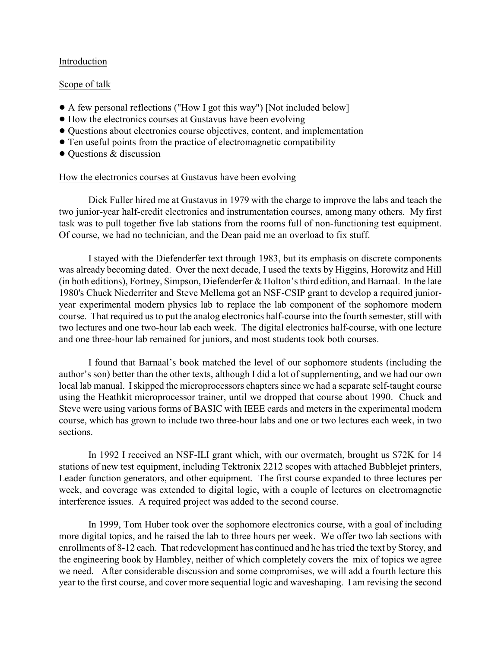#### Introduction

#### Scope of talk

- ! A few personal reflections ("How I got this way") [Not included below]
- ! How the electronics courses at Gustavus have been evolving
- ! Questions about electronics course objectives, content, and implementation
- Ten useful points from the practice of electromagnetic compatibility
- $\bullet$  Questions & discussion

#### How the electronics courses at Gustavus have been evolving

Dick Fuller hired me at Gustavus in 1979 with the charge to improve the labs and teach the two junior-year half-credit electronics and instrumentation courses, among many others. My first task was to pull together five lab stations from the rooms full of non-functioning test equipment. Of course, we had no technician, and the Dean paid me an overload to fix stuff.

I stayed with the Diefenderfer text through 1983, but its emphasis on discrete components was already becoming dated. Over the next decade, I used the texts by Higgins, Horowitz and Hill (in both editions), Fortney, Simpson, Diefenderfer & Holton's third edition, and Barnaal. In the late 1980's Chuck Niederriter and Steve Mellema got an NSF-CSIP grant to develop a required junioryear experimental modern physics lab to replace the lab component of the sophomore modern course. That required us to put the analog electronics half-course into the fourth semester, still with two lectures and one two-hour lab each week. The digital electronics half-course, with one lecture and one three-hour lab remained for juniors, and most students took both courses.

I found that Barnaal's book matched the level of our sophomore students (including the author's son) better than the other texts, although I did a lot of supplementing, and we had our own local lab manual. Iskipped the microprocessors chapters since we had a separate self-taught course using the Heathkit microprocessor trainer, until we dropped that course about 1990. Chuck and Steve were using various forms of BASIC with IEEE cards and meters in the experimental modern course, which has grown to include two three-hour labs and one or two lectures each week, in two sections.

In 1992 I received an NSF-ILI grant which, with our overmatch, brought us \$72K for 14 stations of new test equipment, including Tektronix 2212 scopes with attached Bubblejet printers, Leader function generators, and other equipment. The first course expanded to three lectures per week, and coverage was extended to digital logic, with a couple of lectures on electromagnetic interference issues. A required project was added to the second course.

In 1999, Tom Huber took over the sophomore electronics course, with a goal of including more digital topics, and he raised the lab to three hours per week. We offer two lab sections with enrollments of 8-12 each. That redevelopment has continued and he has tried the text by Storey, and the engineering book by Hambley, neither of which completely covers the mix of topics we agree we need. After considerable discussion and some compromises, we will add a fourth lecture this year to the first course, and cover more sequential logic and waveshaping. I am revising the second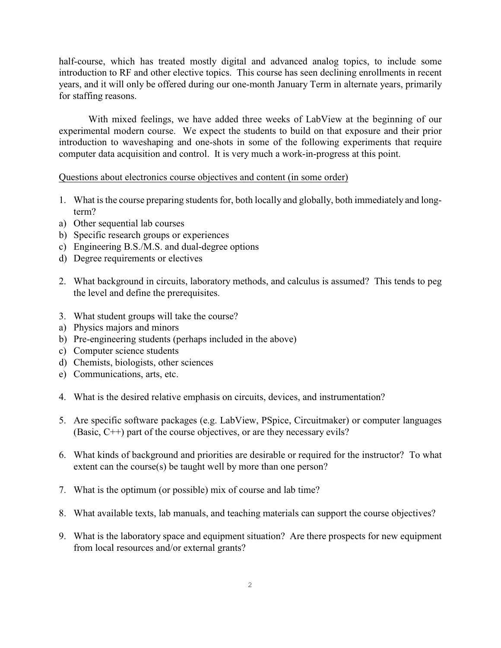half-course, which has treated mostly digital and advanced analog topics, to include some introduction to RF and other elective topics. This course has seen declining enrollments in recent years, and it will only be offered during our one-month January Term in alternate years, primarily for staffing reasons.

With mixed feelings, we have added three weeks of LabView at the beginning of our experimental modern course. We expect the students to build on that exposure and their prior introduction to waveshaping and one-shots in some of the following experiments that require computer data acquisition and control. It is very much a work-in-progress at this point.

Questions about electronics course objectives and content (in some order)

- 1. What is the course preparing students for, both locally and globally, both immediately and longterm?
- a) Other sequential lab courses
- b) Specific research groups or experiences
- c) Engineering B.S./M.S. and dual-degree options
- d) Degree requirements or electives
- 2. What background in circuits, laboratory methods, and calculus is assumed? This tends to peg the level and define the prerequisites.
- 3. What student groups will take the course?
- a) Physics majors and minors
- b) Pre-engineering students (perhaps included in the above)
- c) Computer science students
- d) Chemists, biologists, other sciences
- e) Communications, arts, etc.
- 4. What is the desired relative emphasis on circuits, devices, and instrumentation?
- 5. Are specific software packages (e.g. LabView, PSpice, Circuitmaker) or computer languages (Basic, C++) part of the course objectives, or are they necessary evils?
- 6. What kinds of background and priorities are desirable or required for the instructor? To what extent can the course(s) be taught well by more than one person?
- 7. What is the optimum (or possible) mix of course and lab time?
- 8. What available texts, lab manuals, and teaching materials can support the course objectives?
- 9. What is the laboratory space and equipment situation? Are there prospects for new equipment from local resources and/or external grants?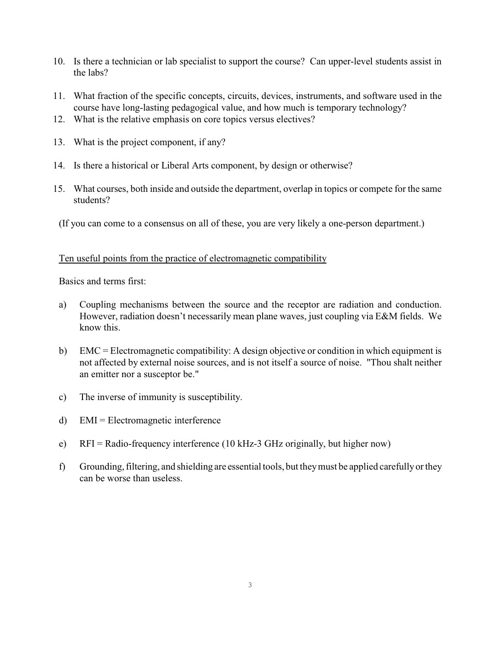- 10. Is there a technician or lab specialist to support the course? Can upper-level students assist in the labs?
- 11. What fraction of the specific concepts, circuits, devices, instruments, and software used in the course have long-lasting pedagogical value, and how much is temporary technology?
- 12. What is the relative emphasis on core topics versus electives?
- 13. What is the project component, if any?
- 14. Is there a historical or Liberal Arts component, by design or otherwise?
- 15. What courses, both inside and outside the department, overlap in topics or compete for the same students?

(If you can come to a consensus on all of these, you are very likely a one-person department.)

#### Ten useful points from the practice of electromagnetic compatibility

Basics and terms first:

- a) Coupling mechanisms between the source and the receptor are radiation and conduction. However, radiation doesn't necessarily mean plane waves, just coupling via E&M fields. We know this.
- b) EMC = Electromagnetic compatibility: A design objective or condition in which equipment is not affected by external noise sources, and is not itself a source of noise. "Thou shalt neither an emitter nor a susceptor be."
- c) The inverse of immunity is susceptibility.
- d) EMI = Electromagnetic interference
- e) RFI = Radio-frequency interference (10 kHz-3 GHz originally, but higher now)
- f) Grounding, filtering, and shielding are essential tools, but they must be applied carefully or they can be worse than useless.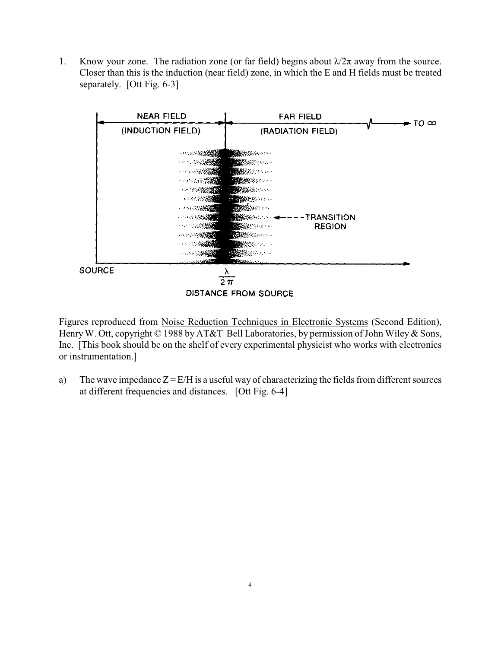1. Know your zone. The radiation zone (or far field) begins about  $\lambda/2\pi$  away from the source. Closer than this is the induction (near field) zone, in which the E and H fields must be treated separately. [Ott Fig. 6-3]



Figures reproduced from Noise Reduction Techniques in Electronic Systems (Second Edition), Henry W. Ott, copyright © 1988 by AT&T Bell Laboratories, by permission of John Wiley & Sons, Inc. [This book should be on the shelf of every experimental physicist who works with electronics or instrumentation.]

a) The wave impedance  $Z = E/H$  is a useful way of characterizing the fields from different sources at different frequencies and distances. [Ott Fig. 6-4]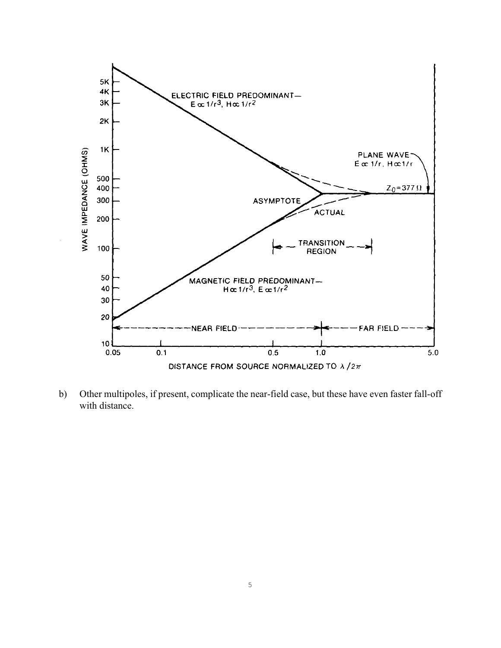

b) Other multipoles, if present, complicate the near-field case, but these have even faster fall-off with distance.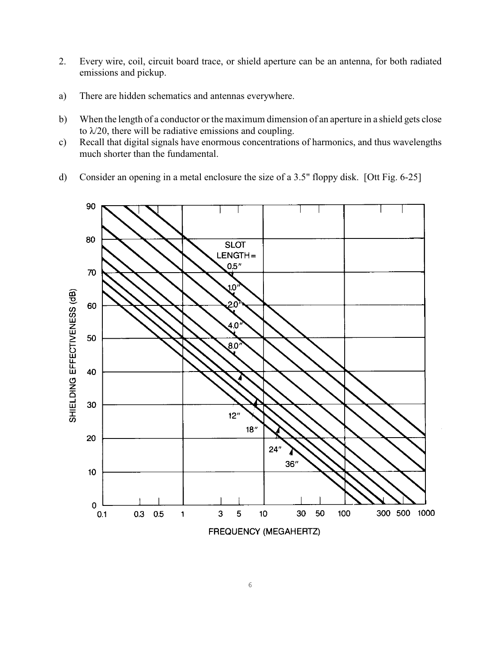- 2. Every wire, coil, circuit board trace, or shield aperture can be an antenna, for both radiated emissions and pickup.
- a) There are hidden schematics and antennas everywhere.
- b) When the length of a conductor or the maximum dimension of an aperture in a shield gets close to  $\lambda/20$ , there will be radiative emissions and coupling.
- c) Recall that digital signals have enormous concentrations of harmonics, and thus wavelengths much shorter than the fundamental.
- d) Consider an opening in a metal enclosure the size of a 3.5" floppy disk. [Ott Fig. 6-25]

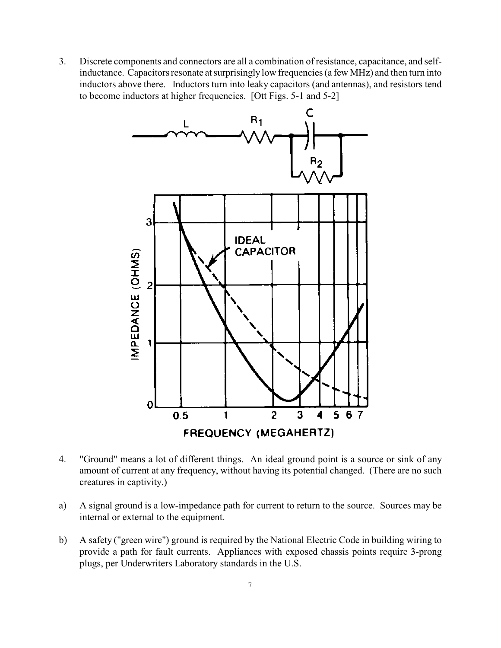3. Discrete components and connectors are all a combination of resistance, capacitance, and selfinductance. Capacitors resonate at surprisingly low frequencies (a few MHz) and then turn into inductors above there. Inductors turn into leaky capacitors (and antennas), and resistors tend to become inductors at higher frequencies. [Ott Figs. 5-1 and 5-2]



- 4. "Ground" means a lot of different things. An ideal ground point is a source or sink of any amount of current at any frequency, without having its potential changed. (There are no such creatures in captivity.)
- a) A signal ground is a low-impedance path for current to return to the source. Sources may be internal or external to the equipment.
- b) A safety ("green wire") ground is required by the National Electric Code in building wiring to provide a path for fault currents. Appliances with exposed chassis points require 3-prong plugs, per Underwriters Laboratory standards in the U.S.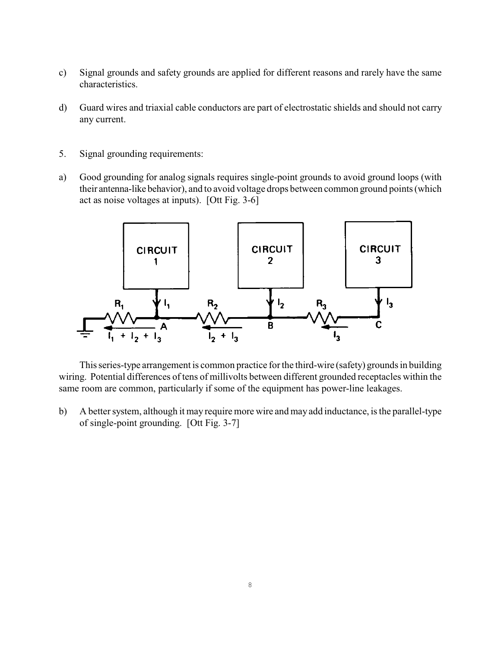- c) Signal grounds and safety grounds are applied for different reasons and rarely have the same characteristics.
- d) Guard wires and triaxial cable conductors are part of electrostatic shields and should not carry any current.
- 5. Signal grounding requirements:
- a) Good grounding for analog signals requires single-point grounds to avoid ground loops (with their antenna-like behavior), and to avoid voltage drops between common ground points (which act as noise voltages at inputs). [Ott Fig. 3-6]



This series-type arrangement is common practice for the third-wire (safety) grounds in building wiring. Potential differences of tens of millivolts between different grounded receptacles within the same room are common, particularly if some of the equipment has power-line leakages.

b) A better system, although it may require more wire and may add inductance, is the parallel-type of single-point grounding. [Ott Fig. 3-7]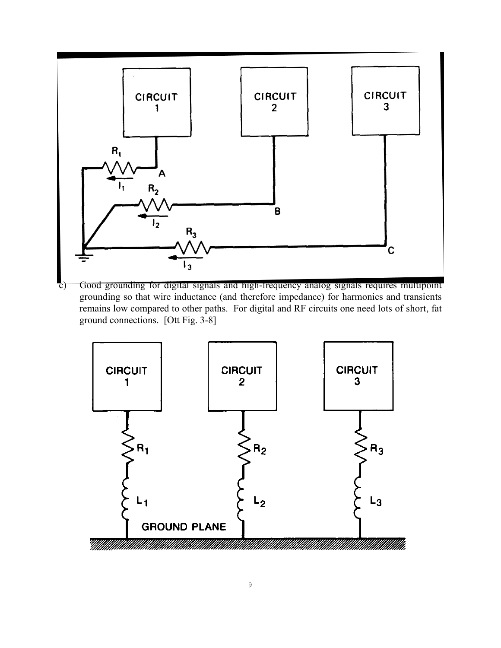

c) Good grounding for digital signals and high-frequency analog signals requires multipoint grounding so that wire inductance (and therefore impedance) for harmonics and transients remains low compared to other paths. For digital and RF circuits one need lots of short, fat ground connections. [Ott Fig. 3-8]

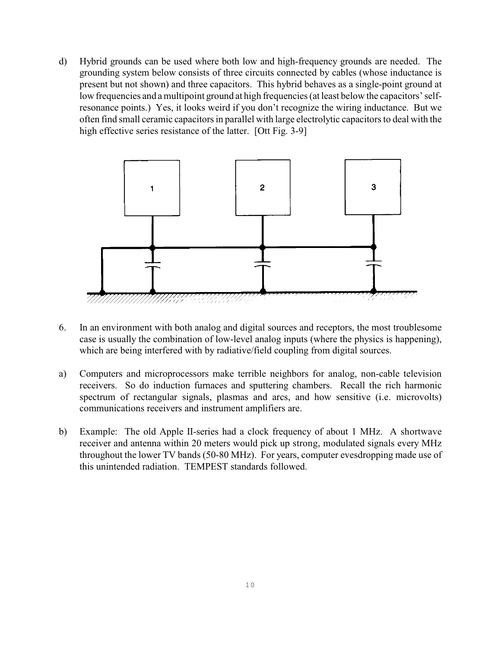d) Hybrid grounds can be used where both low and high-frequency grounds are needed. The grounding system below consists of three circuits connected by cables (whose inductance is present but not shown) and three capacitors. This hybrid behaves as a single-point ground at low frequencies and a multipoint ground at high frequencies (at least below the capacitors' selfresonance points.) Yes, it looks weird if you don't recognize the wiring inductance. But we often find small ceramic capacitors in parallel with large electrolytic capacitors to deal with the high effective series resistance of the latter. [Ott Fig. 3-9]



- 6. In an environment with both analog and digital sources and receptors, the most troublesome case is usually the combination of low-level analog inputs (where the physics is happening), which are being interfered with by radiative/field coupling from digital sources.
- a) Computers and microprocessors make terrible neighbors for analog, non-cable television receivers. So do induction furnaces and sputtering chambers. Recall the rich harmonic spectrum of rectangular signals, plasmas and arcs, and how sensitive (i.e. microvolts) communications receivers and instrument amplifiers are.
- b) Example: The old Apple II-series had a clock frequency of about 1 MHz. A shortwave receiver and antenna within 20 meters would pick up strong, modulated signals every MHz throughout the lower TV bands (50-80 MHz). For years, computer evesdropping made use of this unintended radiation. TEMPEST standards followed.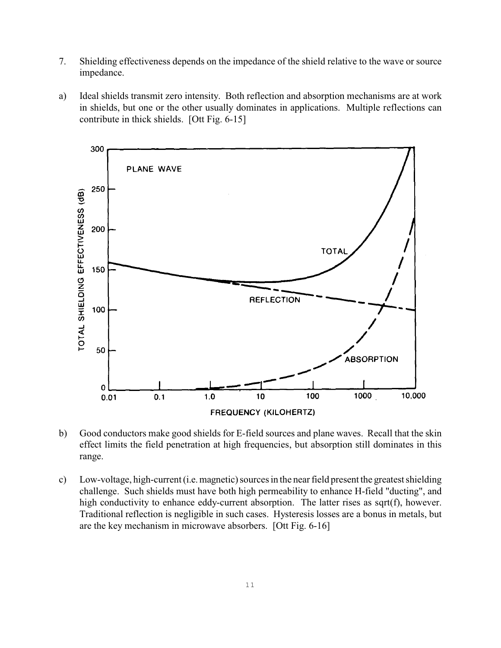- 7. Shielding effectiveness depends on the impedance of the shield relative to the wave or source impedance.
- a) Ideal shields transmit zero intensity. Both reflection and absorption mechanisms are at work in shields, but one or the other usually dominates in applications. Multiple reflections can contribute in thick shields. [Ott Fig. 6-15]



- b) Good conductors make good shields for E-field sources and plane waves. Recall that the skin effect limits the field penetration at high frequencies, but absorption still dominates in this range.
- c) Low-voltage, high-current (i.e. magnetic) sources in the near field present the greatest shielding challenge. Such shields must have both high permeability to enhance H-field "ducting", and high conductivity to enhance eddy-current absorption. The latter rises as sqrt(f), however. Traditional reflection is negligible in such cases. Hysteresis losses are a bonus in metals, but are the key mechanism in microwave absorbers. [Ott Fig. 6-16]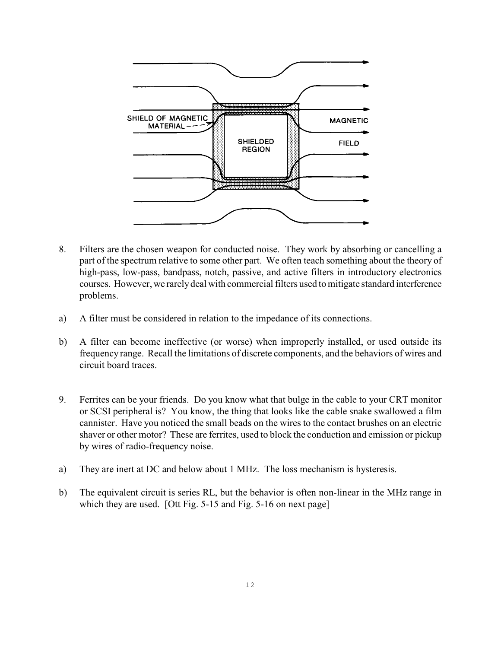

- 8. Filters are the chosen weapon for conducted noise. They work by absorbing or cancelling a part of the spectrum relative to some other part. We often teach something about the theory of high-pass, low-pass, bandpass, notch, passive, and active filters in introductory electronics courses. However, we rarely deal with commercial filters used to mitigate standard interference problems.
- a) A filter must be considered in relation to the impedance of its connections.
- b) A filter can become ineffective (or worse) when improperly installed, or used outside its frequency range. Recall the limitations of discrete components, and the behaviors of wires and circuit board traces.
- 9. Ferrites can be your friends. Do you know what that bulge in the cable to your CRT monitor or SCSI peripheral is? You know, the thing that looks like the cable snake swallowed a film cannister. Have you noticed the small beads on the wires to the contact brushes on an electric shaver or other motor? These are ferrites, used to block the conduction and emission or pickup by wires of radio-frequency noise.
- a) They are inert at DC and below about 1 MHz. The loss mechanism is hysteresis.
- b) The equivalent circuit is series RL, but the behavior is often non-linear in the MHz range in which they are used. [Ott Fig. 5-15 and Fig. 5-16 on next page]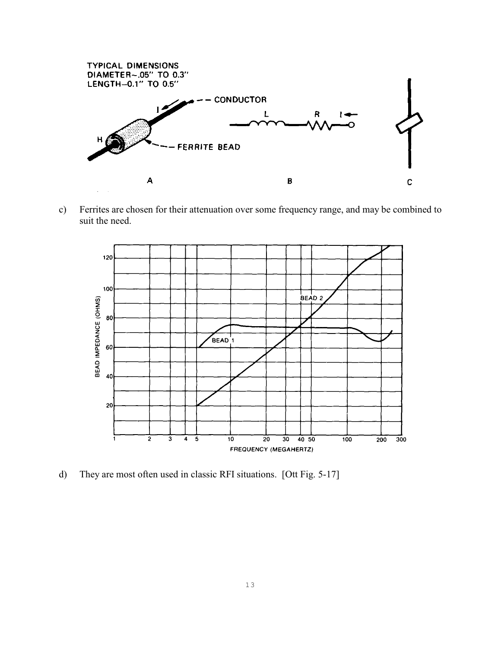

c) Ferrites are chosen for their attenuation over some frequency range, and may be combined to suit the need.



d) They are most often used in classic RFI situations. [Ott Fig. 5-17]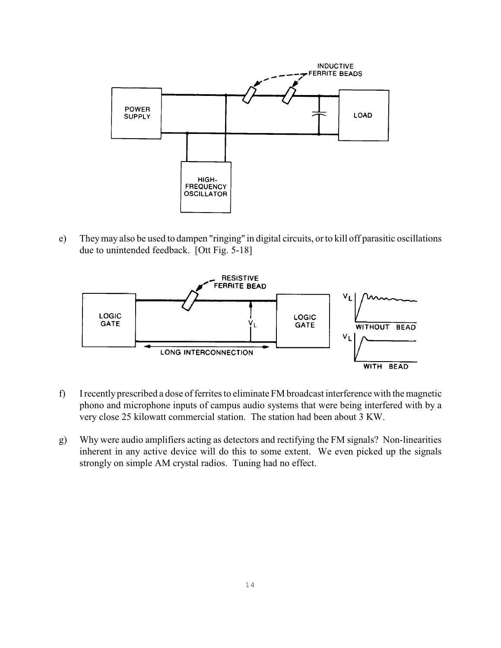

e) They may also be used to dampen "ringing" in digital circuits, or to kill off parasitic oscillations due to unintended feedback. [Ott Fig. 5-18]



- f) Irecently prescribed a dose offerrites to eliminate FM broadcast interference with the magnetic phono and microphone inputs of campus audio systems that were being interfered with by a very close 25 kilowatt commercial station. The station had been about 3 KW.
- g) Why were audio amplifiers acting as detectors and rectifying the FM signals? Non-linearities inherent in any active device will do this to some extent. We even picked up the signals strongly on simple AM crystal radios. Tuning had no effect.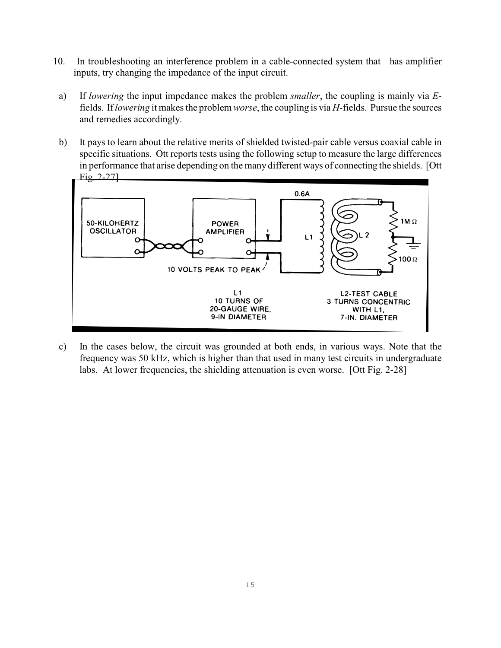- 10. In troubleshooting an interference problem in a cable-connected system that has amplifier inputs, try changing the impedance of the input circuit.
- a) If *lowering* the input impedance makes the problem *smaller*, the coupling is mainly via *E*fields. If *lowering* it makes the problem *worse*, the coupling is via *H*-fields. Pursue the sources and remedies accordingly.
- b) It pays to learn about the relative merits of shielded twisted-pair cable versus coaxial cable in specific situations. Ott reports tests using the following setup to measure the large differences in performance that arise depending on the many different ways of connecting the shields. [Ott Fig. 2-27]



c) In the cases below, the circuit was grounded at both ends, in various ways. Note that the frequency was 50 kHz, which is higher than that used in many test circuits in undergraduate labs. At lower frequencies, the shielding attenuation is even worse. [Ott Fig. 2-28]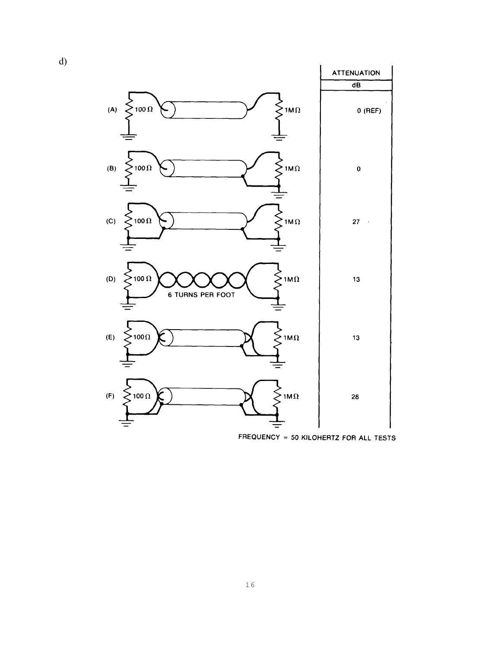